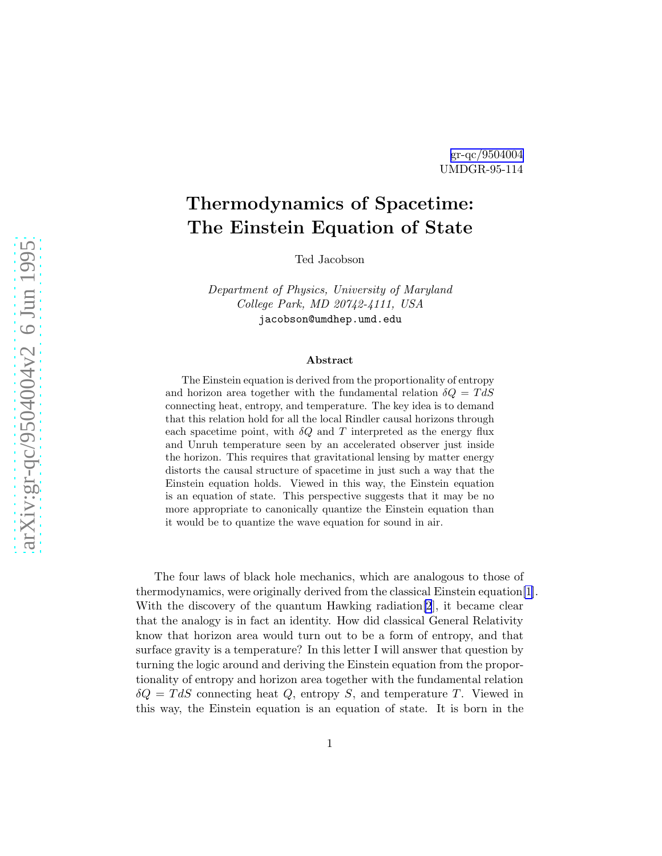## [gr-qc/9504004](http://arXiv.org/abs/gr-qc/9504004) UMDGR-95-114

## Thermodynamics of Spacetime: The Einstein Equation of State

Ted Jacobson

Department of Physics, University of Maryland College Park, MD 20742-4111, USA jacobson@umdhep.umd.edu

## Abstract

The Einstein equation is derived from the proportionality of entropy and horizon area together with the fundamental relation  $\delta Q = T dS$ connecting heat, entropy, and temperature. The key idea is to demand that this relation hold for all the local Rindler causal horizons through each spacetime point, with  $\delta Q$  and T interpreted as the energy flux and Unruh temperature seen by an accelerated observer just inside the horizon. This requires that gravitational lensing by matter energy distorts the causal structure of spacetime in just such a way that the Einstein equation holds. Viewed in this way, the Einstein equation is an equation of state. This perspective suggests that it may be no more appropriate to canonically quantize the Einstein equation than it would be to quantize the wave equation for sound in air.

The four laws of black hole mechanics, which are analogous to those of thermodynamics, were originally derived from the classical Einstein equation[\[1](#page-6-0)]. With the discovery of the quantum Hawking radiation[\[2](#page-6-0)], it became clear that the analogy is in fact an identity. How did classical General Relativity know that horizon area would turn out to be a form of entropy, and that surface gravity is a temperature? In this letter I will answer that question by turning the logic around and deriving the Einstein equation from the proportionality of entropy and horizon area together with the fundamental relation  $\delta Q = T dS$  connecting heat Q, entropy S, and temperature T. Viewed in this way, the Einstein equation is an equation of state. It is born in the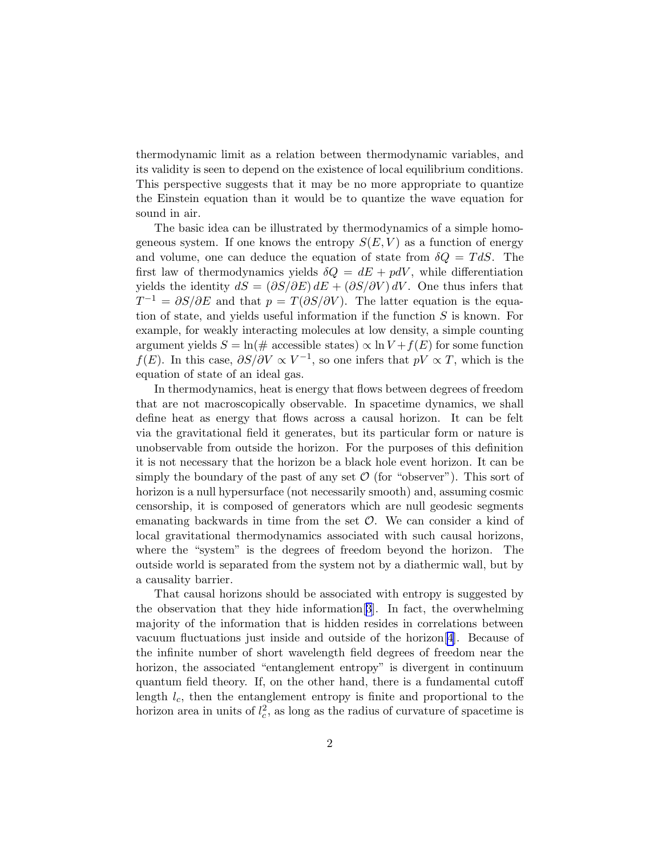thermodynamic limit as a relation between thermodynamic variables, and its validity is seen to depend on the existence of local equilibrium conditions. This perspective suggests that it may be no more appropriate to quantize the Einstein equation than it would be to quantize the wave equation for sound in air.

The basic idea can be illustrated by thermodynamics of a simple homogeneous system. If one knows the entropy  $S(E, V)$  as a function of energy and volume, one can deduce the equation of state from  $\delta Q = T dS$ . The first law of thermodynamics yields  $\delta Q = dE + pdV$ , while differentiation yields the identity  $dS = (\partial S/\partial E) dE + (\partial S/\partial V) dV$ . One thus infers that  $T^{-1} = \partial S/\partial E$  and that  $p = T(\partial S/\partial V)$ . The latter equation is the equation of state, and yields useful information if the function  $S$  is known. For example, for weakly interacting molecules at low density, a simple counting argument yields  $S = \ln(\text{# accessible states}) \propto \ln V + f(E)$  for some function  $f(E)$ . In this case,  $\partial S/\partial V \propto V^{-1}$ , so one infers that  $pV \propto T$ , which is the equation of state of an ideal gas.

In thermodynamics, heat is energy that flows between degrees of freedom that are not macroscopically observable. In spacetime dynamics, we shall define heat as energy that flows across a causal horizon. It can be felt via the gravitational field it generates, but its particular form or nature is unobservable from outside the horizon. For the purposes of this definition it is not necessary that the horizon be a black hole event horizon. It can be simply the boundary of the past of any set  $\mathcal O$  (for "observer"). This sort of horizon is a null hypersurface (not necessarily smooth) and, assuming cosmic censorship, it is composed of generators which are null geodesic segments emanating backwards in time from the set  $\mathcal O$ . We can consider a kind of local gravitational thermodynamics associated with such causal horizons, where the "system" is the degrees of freedom beyond the horizon. The outside world is separated from the system not by a diathermic wall, but by a causality barrier.

That causal horizons should be associated with entropy is suggested by the observation that they hide information[[3](#page-6-0)]. In fact, the overwhelming majority of the information that is hidden resides in correlations between vacuum fluctuations just inside and outside of the horizon[[4](#page-6-0)]. Because of the infinite number of short wavelength field degrees of freedom near the horizon, the associated "entanglement entropy" is divergent in continuum quantum field theory. If, on the other hand, there is a fundamental cutoff length  $l_c$ , then the entanglement entropy is finite and proportional to the horizon area in units of  $l_c^2$  $c<sub>c</sub><sup>2</sup>$ , as long as the radius of curvature of spacetime is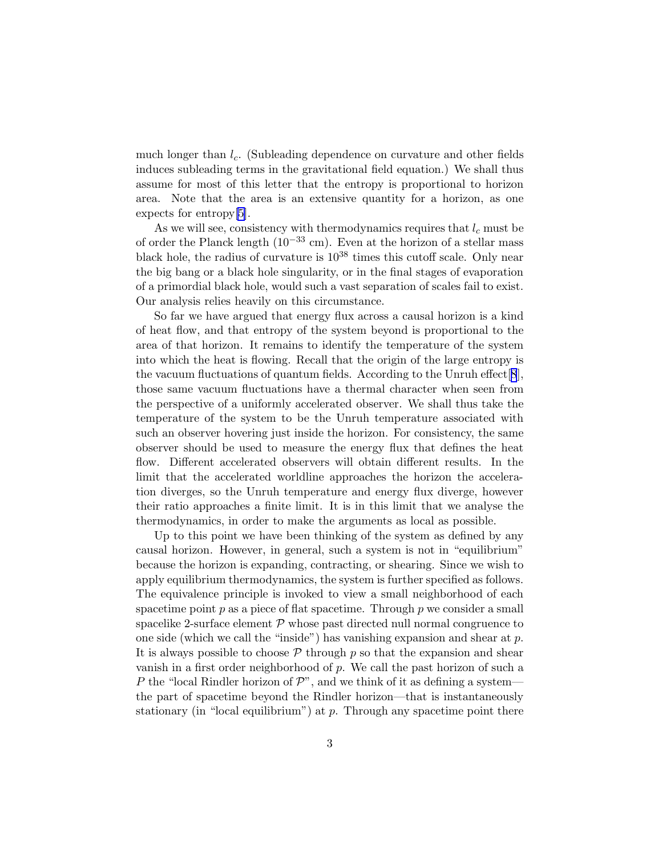much longer than  $l_c$ . (Subleading dependence on curvature and other fields induces subleading terms in the gravitational field equation.) We shall thus assume for most of this letter that the entropy is proportional to horizon area. Note that the area is an extensive quantity for a horizon, as one expects for entropy[\[5\]](#page-6-0).

As we will see, consistency with thermodynamics requires that  $l_c$  must be of order the Planck length  $(10^{-33}$  cm). Even at the horizon of a stellar mass black hole, the radius of curvature is  $10^{38}$  times this cutoff scale. Only near the big bang or a black hole singularity, or in the final stages of evaporation of a primordial black hole, would such a vast separation of scales fail to exist. Our analysis relies heavily on this circumstance.

So far we have argued that energy flux across a causal horizon is a kind of heat flow, and that entropy of the system beyond is proportional to the area of that horizon. It remains to identify the temperature of the system into which the heat is flowing. Recall that the origin of the large entropy is the vacuum fluctuations of quantum fields. According to the Unruh effect[[8](#page-7-0)], those same vacuum fluctuations have a thermal character when seen from the perspective of a uniformly accelerated observer. We shall thus take the temperature of the system to be the Unruh temperature associated with such an observer hovering just inside the horizon. For consistency, the same observer should be used to measure the energy flux that defines the heat flow. Different accelerated observers will obtain different results. In the limit that the accelerated worldline approaches the horizon the acceleration diverges, so the Unruh temperature and energy flux diverge, however their ratio approaches a finite limit. It is in this limit that we analyse the thermodynamics, in order to make the arguments as local as possible.

Up to this point we have been thinking of the system as defined by any causal horizon. However, in general, such a system is not in "equilibrium" because the horizon is expanding, contracting, or shearing. Since we wish to apply equilibrium thermodynamics, the system is further specified as follows. The equivalence principle is invoked to view a small neighborhood of each spacetime point  $p$  as a piece of flat spacetime. Through  $p$  we consider a small spacelike 2-surface element  $P$  whose past directed null normal congruence to one side (which we call the "inside") has vanishing expansion and shear at  $p$ . It is always possible to choose  $P$  through p so that the expansion and shear vanish in a first order neighborhood of  $p$ . We call the past horizon of such a P the "local Rindler horizon of  $\mathcal{P}$ ", and we think of it as defining a systemthe part of spacetime beyond the Rindler horizon—that is instantaneously stationary (in "local equilibrium") at  $p$ . Through any spacetime point there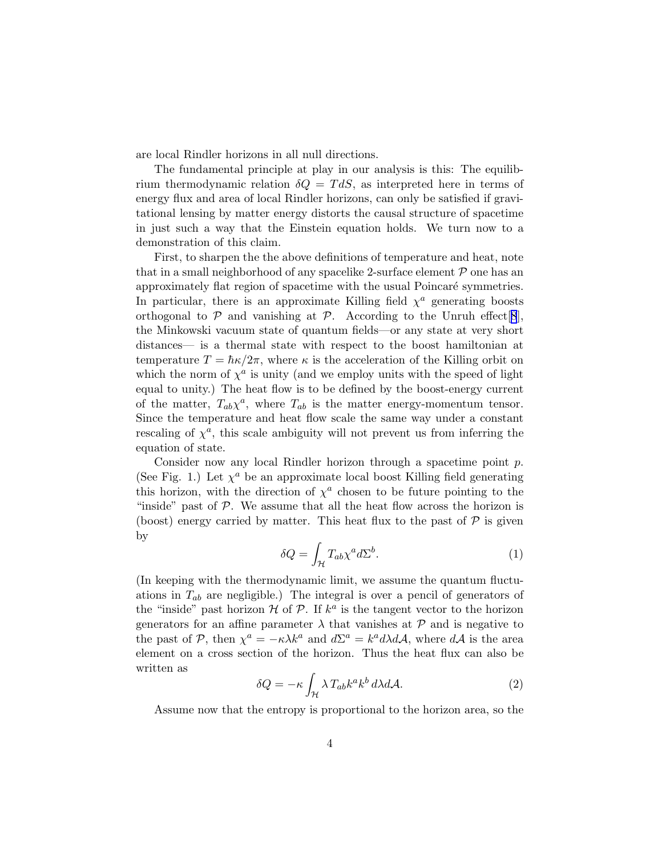<span id="page-3-0"></span>are local Rindler horizons in all null directions.

The fundamental principle at play in our analysis is this: The equilibrium thermodynamic relation  $\delta Q = T dS$ , as interpreted here in terms of energy flux and area of local Rindler horizons, can only be satisfied if gravitational lensing by matter energy distorts the causal structure of spacetime in just such a way that the Einstein equation holds. We turn now to a demonstration of this claim.

First, to sharpen the the above definitions of temperature and heat, note that in a small neighborhood of any spacelike 2-surface element  $P$  one has an approximately flat region of spacetime with the usual Poincaré symmetries. In particular, there is an approximate Killing field  $\chi^a$  generating boosts orthogonal to  $P$  and vanishing at  $P$ . According to the Unruh effect [[8](#page-7-0)], the Minkowski vacuum state of quantum fields—or any state at very short distances— is a thermal state with respect to the boost hamiltonian at temperature  $T = \hbar \kappa / 2\pi$ , where  $\kappa$  is the acceleration of the Killing orbit on which the norm of  $\chi^a$  is unity (and we employ units with the speed of light equal to unity.) The heat flow is to be defined by the boost-energy current of the matter,  $T_{ab}\chi^a$ , where  $T_{ab}$  is the matter energy-momentum tensor. Since the temperature and heat flow scale the same way under a constant rescaling of  $\chi^a$ , this scale ambiguity will not prevent us from inferring the equation of state.

Consider now any local Rindler horizon through a spacetime point p. (See Fig. 1.) Let  $\chi^a$  be an approximate local boost Killing field generating this horizon, with the direction of  $\chi^a$  chosen to be future pointing to the "inside" past of  $P$ . We assume that all the heat flow across the horizon is (boost) energy carried by matter. This heat flux to the past of  $P$  is given by

$$
\delta Q = \int_{\mathcal{H}} T_{ab} \chi^a d\Sigma^b. \tag{1}
$$

(In keeping with the thermodynamic limit, we assume the quantum fluctuations in  $T_{ab}$  are negligible.) The integral is over a pencil of generators of the "inside" past horizon  $H$  of  $P$ . If  $k^a$  is the tangent vector to the horizon generators for an affine parameter  $\lambda$  that vanishes at  $\mathcal P$  and is negative to the past of P, then  $\chi^a = -\kappa \lambda k^a$  and  $d\Sigma^a = k^a d\lambda dA$ , where  $dA$  is the area element on a cross section of the horizon. Thus the heat flux can also be written as

$$
\delta Q = -\kappa \int_{\mathcal{H}} \lambda T_{ab} k^a k^b \, d\lambda d\mathcal{A}.\tag{2}
$$

Assume now that the entropy is proportional to the horizon area, so the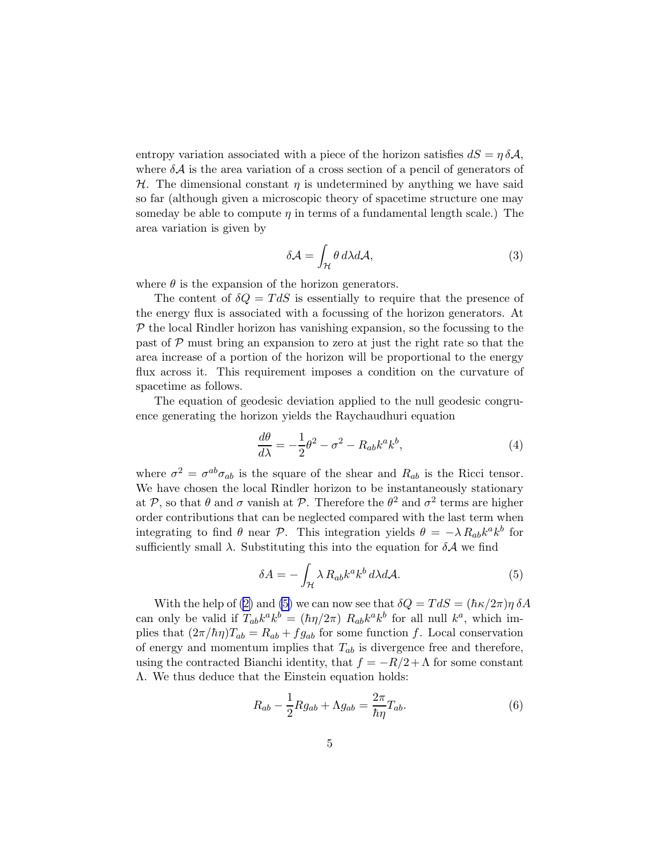entropy variation associated with a piece of the horizon satisfies  $dS = \eta \delta A$ , where  $\delta A$  is the area variation of a cross section of a pencil of generators of  $H$ . The dimensional constant  $\eta$  is undetermined by anything we have said so far (although given a microscopic theory of spacetime structure one may someday be able to compute  $\eta$  in terms of a fundamental length scale.) The area variation is given by

$$
\delta \mathcal{A} = \int_{\mathcal{H}} \theta \, d\lambda d\mathcal{A},\tag{3}
$$

where  $\theta$  is the expansion of the horizon generators.

The content of  $\delta Q = T dS$  is essentially to require that the presence of the energy flux is associated with a focussing of the horizon generators. At  $\mathcal P$  the local Rindler horizon has vanishing expansion, so the focussing to the past of  $P$  must bring an expansion to zero at just the right rate so that the area increase of a portion of the horizon will be proportional to the energy flux across it. This requirement imposes a condition on the curvature of spacetime as follows.

The equation of geodesic deviation applied to the null geodesic congruence generating the horizon yields the Raychaudhuri equation

$$
\frac{d\theta}{d\lambda} = -\frac{1}{2}\theta^2 - \sigma^2 - R_{ab}k^a k^b,
$$
\n(4)

where  $\sigma^2 = \sigma^{ab}\sigma_{ab}$  is the square of the shear and  $R_{ab}$  is the Ricci tensor. We have chosen the local Rindler horizon to be instantaneously stationary at P, so that  $\theta$  and  $\sigma$  vanish at P. Therefore the  $\theta^2$  and  $\sigma^2$  terms are higher order contributions that can be neglected compared with the last term when integrating to find  $\theta$  near  $\mathcal{P}$ . This integration yields  $\theta = -\lambda R_{ab}k^a k^b$  for sufficiently small  $\lambda$ . Substituting this into the equation for  $\delta A$  we find

$$
\delta A = -\int_{\mathcal{H}} \lambda R_{ab} k^a k^b \, d\lambda d\mathcal{A}.\tag{5}
$$

With the help of [\(2\)](#page-3-0) and (5) we can now see that  $\delta Q = T dS = (\hbar \kappa / 2\pi) \eta \delta A$ can only be valid if  $T_{ab}k^a k^b = (\hbar \eta/2\pi) R_{ab}k^a k^b$  for all null  $k^a$ , which implies that  $(2\pi/\hbar\eta)T_{ab} = R_{ab} + fg_{ab}$  for some function f. Local conservation of energy and momentum implies that  $T_{ab}$  is divergence free and therefore, using the contracted Bianchi identity, that  $f = -R/2 + \Lambda$  for some constant Λ. We thus deduce that the Einstein equation holds:

$$
R_{ab} - \frac{1}{2} R g_{ab} + \Lambda g_{ab} = \frac{2\pi}{\hbar \eta} T_{ab}.
$$
 (6)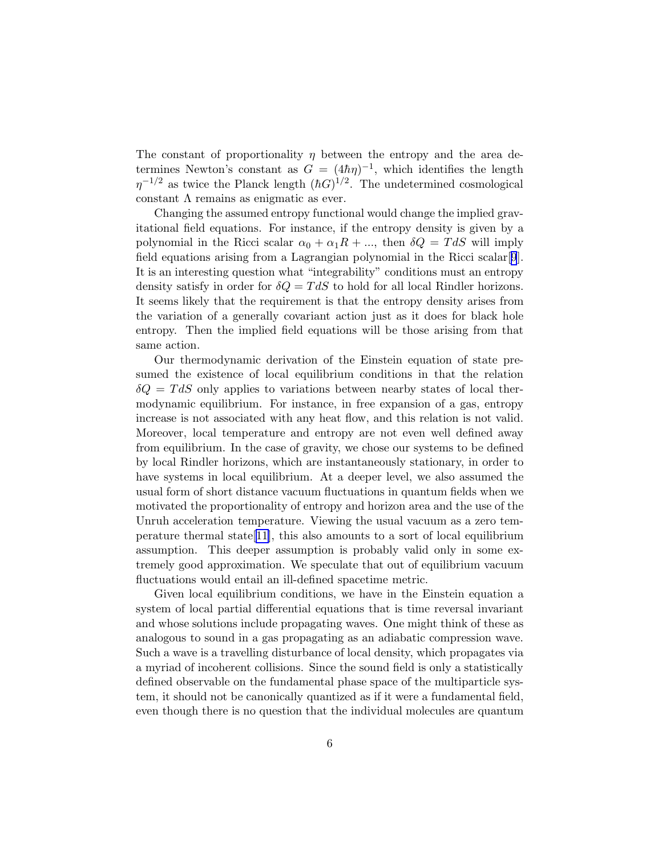The constant of proportionality  $\eta$  between the entropy and the area determines Newton's constant as  $G = (4\hbar\eta)^{-1}$ , which identifies the length  $\eta^{-1/2}$  as twice the Planck length  $(\hbar G)^{1/2}$ . The undetermined cosmological constant  $\Lambda$  remains as enigmatic as ever.

Changing the assumed entropy functional would change the implied gravitational field equations. For instance, if the entropy density is given by a polynomial in the Ricci scalar  $\alpha_0 + \alpha_1 R + \dots$ , then  $\delta Q = T dS$  will imply field equations arising from a Lagrangian polynomial in the Ricci scalar[[9](#page-7-0)]. It is an interesting question what "integrability" conditions must an entropy density satisfy in order for  $\delta Q = T dS$  to hold for all local Rindler horizons. It seems likely that the requirement is that the entropy density arises from the variation of a generally covariant action just as it does for black hole entropy. Then the implied field equations will be those arising from that same action.

Our thermodynamic derivation of the Einstein equation of state presumed the existence of local equilibrium conditions in that the relation  $\delta Q = T dS$  only applies to variations between nearby states of local thermodynamic equilibrium. For instance, in free expansion of a gas, entropy increase is not associated with any heat flow, and this relation is not valid. Moreover, local temperature and entropy are not even well defined away from equilibrium. In the case of gravity, we chose our systems to be defined by local Rindler horizons, which are instantaneously stationary, in order to have systems in local equilibrium. At a deeper level, we also assumed the usual form of short distance vacuum fluctuations in quantum fields when we motivated the proportionality of entropy and horizon area and the use of the Unruh acceleration temperature. Viewing the usual vacuum as a zero tem-perature thermal state<sup>[\[11](#page-7-0)]</sup>, this also amounts to a sort of local equilibrium assumption. This deeper assumption is probably valid only in some extremely good approximation. We speculate that out of equilibrium vacuum fluctuations would entail an ill-defined spacetime metric.

Given local equilibrium conditions, we have in the Einstein equation a system of local partial differential equations that is time reversal invariant and whose solutions include propagating waves. One might think of these as analogous to sound in a gas propagating as an adiabatic compression wave. Such a wave is a travelling disturbance of local density, which propagates via a myriad of incoherent collisions. Since the sound field is only a statistically defined observable on the fundamental phase space of the multiparticle system, it should not be canonically quantized as if it were a fundamental field, even though there is no question that the individual molecules are quantum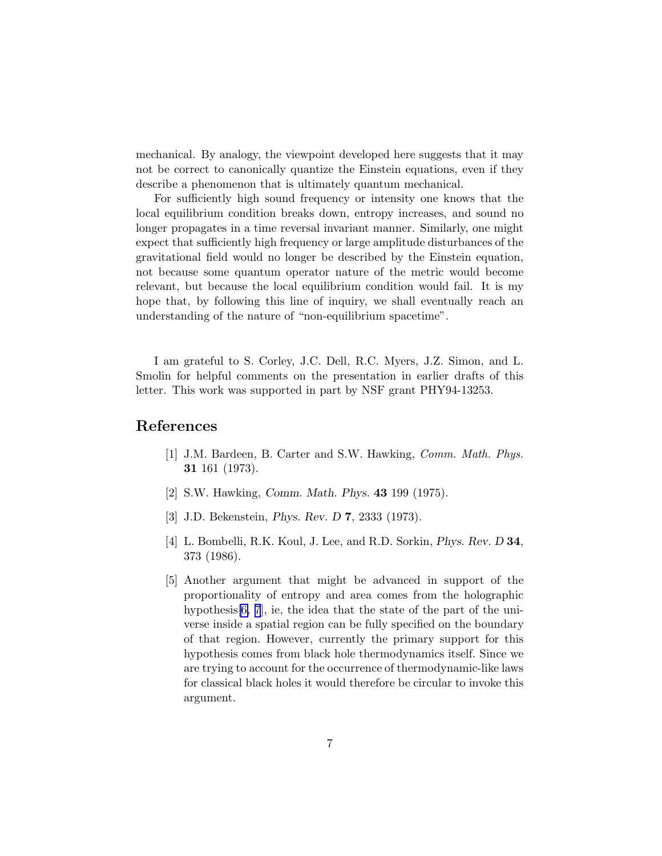<span id="page-6-0"></span>mechanical. By analogy, the viewpoint developed here suggests that it may not be correct to canonically quantize the Einstein equations, even if they describe a phenomenon that is ultimately quantum mechanical.

For sufficiently high sound frequency or intensity one knows that the local equilibrium condition breaks down, entropy increases, and sound no longer propagates in a time reversal invariant manner. Similarly, one might expect that sufficiently high frequency or large amplitude disturbances of the gravitational field would no longer be described by the Einstein equation, not because some quantum operator nature of the metric would become relevant, but because the local equilibrium condition would fail. It is my hope that, by following this line of inquiry, we shall eventually reach an understanding of the nature of "non-equilibrium spacetime".

I am grateful to S. Corley, J.C. Dell, R.C. Myers, J.Z. Simon, and L. Smolin for helpful comments on the presentation in earlier drafts of this letter. This work was supported in part by NSF grant PHY94-13253.

## References

- [1] J.M. Bardeen, B. Carter and S.W. Hawking, Comm. Math. Phys. 31 161 (1973).
- [2] S.W. Hawking, Comm. Math. Phys. 43 199 (1975).
- [3] J.D. Bekenstein, Phys. Rev. D 7, 2333 (1973).
- [4] L. Bombelli, R.K. Koul, J. Lee, and R.D. Sorkin, Phys. Rev. D 34, 373 (1986).
- [5] Another argument that might be advanced in support of the proportionality of entropy and area comes from the holographic hypothesis<sup>[6,7]</sup>, ie, the idea that the state of the part of the universe inside a spatial region can be fully specified on the boundary of that region. However, currently the primary support for this hypothesis comes from black hole thermodynamics itself. Since we are trying to account for the occurrence of thermodynamic-like laws for classical black holes it would therefore be circular to invoke this argument.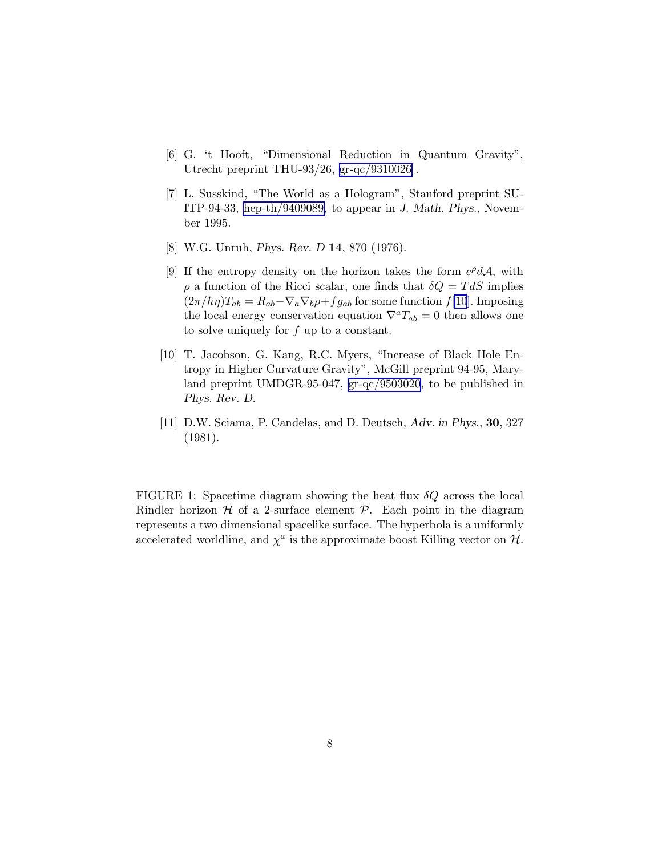- <span id="page-7-0"></span>[6] G. 't Hooft, "Dimensional Reduction in Quantum Gravity", Utrecht preprint THU-93/26, [gr-qc/9310026](http://arXiv.org/abs/gr-qc/9310026) .
- [7] L. Susskind, "The World as a Hologram", Stanford preprint SU-ITP-94-33, [hep-th/9409089,](http://arXiv.org/abs/hep-th/9409089) to appear in J. Math. Phys., November 1995.
- [8] W.G. Unruh, Phys. Rev. D 14, 870 (1976).
- [9] If the entropy density on the horizon takes the form  $e^{\rho}d\mathcal{A}$ , with  $\rho$  a function of the Ricci scalar, one finds that  $\delta Q = T dS$  implies  $(2\pi/\hbar\eta)T_{ab} = R_{ab} - \nabla_a \nabla_b \rho + fg_{ab}$  for some function  $f[10]$ . Imposing the local energy conservation equation  $\nabla^a T_{ab} = 0$  then allows one to solve uniquely for f up to a constant.
- [10] T. Jacobson, G. Kang, R.C. Myers, "Increase of Black Hole Entropy in Higher Curvature Gravity", McGill preprint 94-95, Maryland preprint UMDGR-95-047, [gr-qc/9503020](http://arXiv.org/abs/gr-qc/9503020), to be published in Phys. Rev. D.
- [11] D.W. Sciama, P. Candelas, and D. Deutsch, Adv. in Phys., 30, 327 (1981).

FIGURE 1: Spacetime diagram showing the heat flux  $\delta Q$  across the local Rindler horizon  $H$  of a 2-surface element  $P$ . Each point in the diagram represents a two dimensional spacelike surface. The hyperbola is a uniformly accelerated worldline, and  $\chi^a$  is the approximate boost Killing vector on  $\mathcal{H}$ .